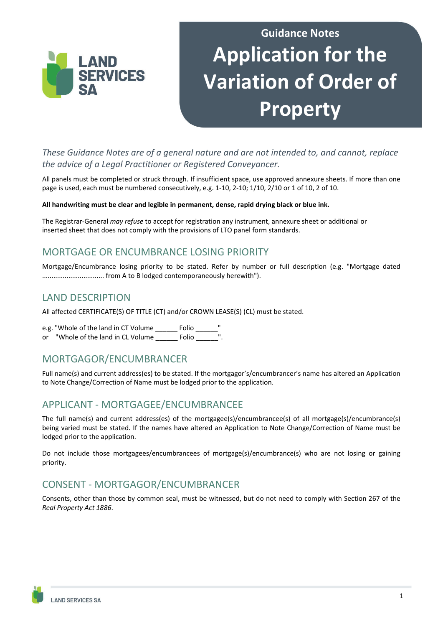

# **Guidance Notes Application for the Variation of Order of Property**

*These Guidance Notes are of a general nature and are not intended to, and cannot, replace the advice of a Legal Practitioner or Registered Conveyancer.* 

All panels must be completed or struck through. If insufficient space, use approved annexure sheets. If more than one page is used, each must be numbered consecutively, e.g. 1-10, 2-10; 1/10, 2/10 or 1 of 10, 2 of 10.

#### **All handwriting must be clear and legible in permanent, dense, rapid drying black or blue ink.**

The Registrar-General *may refuse* to accept for registration any instrument, annexure sheet or additional or inserted sheet that does not comply with the provisions of LTO panel form standards.

## MORTGAGE OR ENCUMBRANCE LOSING PRIORITY

Mortgage/Encumbrance losing priority to be stated. Refer by number or full description (e.g. "Mortgage dated ................................. from A to B lodged contemporaneously herewith").

### LAND DESCRIPTION

All affected CERTIFICATE(S) OF TITLE (CT) and/or CROWN LEASE(S) (CL) must be stated.

e.g. "Whole of the land in CT Volume Folio or "Whole of the land in CL Volume Folio Folio

# MORTGAGOR/ENCUMBRANCER

Full name(s) and current address(es) to be stated. If the mortgagor's/encumbrancer's name has altered an Application to Note Change/Correction of Name must be lodged prior to the application.

## APPLICANT - MORTGAGEE/ENCUMBRANCEE

The full name(s) and current address(es) of the mortgagee(s)/encumbrancee(s) of all mortgage(s)/encumbrance(s) being varied must be stated. If the names have altered an Application to Note Change/Correction of Name must be lodged prior to the application.

Do not include those mortgagees/encumbrancees of mortgage(s)/encumbrance(s) who are not losing or gaining priority.

# CONSENT - MORTGAGOR/ENCUMBRANCER

Consents, other than those by common seal, must be witnessed, but do not need to comply with Section 267 of the *Real Property Act 1886*.